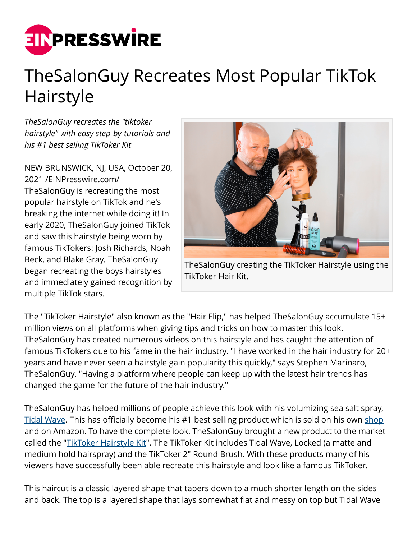

## TheSalonGuy Recreates Most Popular TikTok Hairstyle

*TheSalonGuy recreates the "tiktoker hairstyle" with easy step-by-tutorials and his #1 best selling TikToker Kit*

NEW BRUNSWICK, NJ, USA, October 20, 2021 /[EINPresswire.com](http://www.einpresswire.com)/ -- TheSalonGuy is recreating the most popular hairstyle on TikTok and he's breaking the internet while doing it! In early 2020, TheSalonGuy joined TikTok and saw this hairstyle being worn by famous TikTokers: Josh Richards, Noah Beck, and Blake Gray. TheSalonGuy began recreating the boys hairstyles and immediately gained recognition by multiple TikTok stars.



TheSalonGuy creating the TikToker Hairstyle using the TikToker Hair Kit.

The "TikToker Hairstyle" also known as the "Hair Flip," has helped TheSalonGuy accumulate 15+ million views on all platforms when giving tips and tricks on how to master this look. TheSalonGuy has created numerous videos on this hairstyle and has caught the attention of famous TikTokers due to his fame in the hair industry. "I have worked in the hair industry for 20+ years and have never seen a hairstyle gain popularity this quickly," says Stephen Marinaro, TheSalonGuy. "Having a platform where people can keep up with the latest hair trends has changed the game for the future of the hair industry."

TheSalonGuy has helped millions of people achieve this look with his volumizing sea salt spray, [Tidal Wave](https://shop.thesalonguy.com/products/tidal-wave-volumizing-sea-salt-spray). This has officially become his #1 best selling product which is sold on his own [shop](https://shop.thesalonguy.com) and on Amazon. To have the complete look, TheSalonGuy brought a new product to the market called the "[TikToker Hairstyle Kit"](https://shop.thesalonguy.com/products/tiktoker-hairstyle-kit?_pos=1&_sid=aab42edd5&_ss=r). The TikToker Kit includes Tidal Wave, Locked (a matte and medium hold hairspray) and the TikToker 2" Round Brush. With these products many of his viewers have successfully been able recreate this hairstyle and look like a famous TikToker.

This haircut is a classic layered shape that tapers down to a much shorter length on the sides and back. The top is a layered shape that lays somewhat flat and messy on top but Tidal Wave